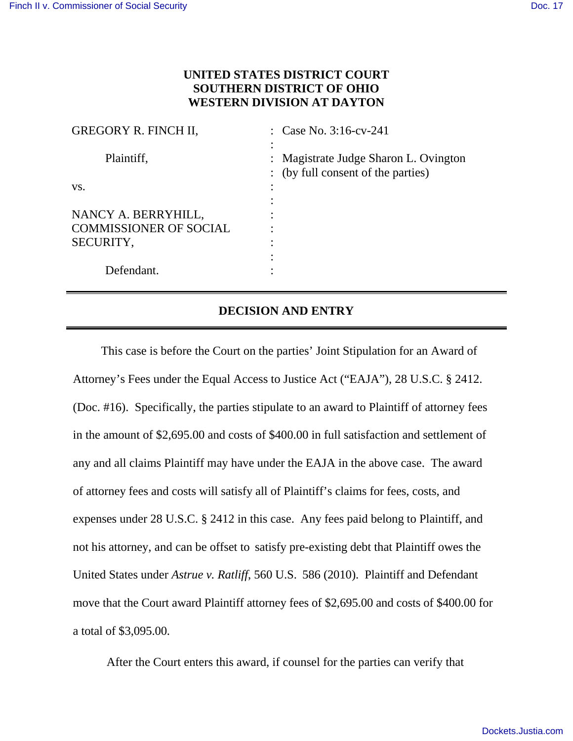## **UNITED STATES DISTRICT COURT SOUTHERN DISTRICT OF OHIO WESTERN DIVISION AT DAYTON**

| <b>GREGORY R. FINCH II,</b>   | : Case No. $3:16$ -cv-241                                                   |
|-------------------------------|-----------------------------------------------------------------------------|
| Plaintiff,                    | : Magistrate Judge Sharon L. Ovington<br>: (by full consent of the parties) |
| VS.                           |                                                                             |
|                               |                                                                             |
| NANCY A. BERRYHILL,           |                                                                             |
| <b>COMMISSIONER OF SOCIAL</b> |                                                                             |
| SECURITY,                     |                                                                             |
|                               |                                                                             |
| Defendant.                    |                                                                             |
|                               |                                                                             |

## **DECISION AND ENTRY**

This case is before the Court on the parties' Joint Stipulation for an Award of Attorney's Fees under the Equal Access to Justice Act ("EAJA"), 28 U.S.C. § 2412. (Doc. #16). Specifically, the parties stipulate to an award to Plaintiff of attorney fees in the amount of \$2,695.00 and costs of \$400.00 in full satisfaction and settlement of any and all claims Plaintiff may have under the EAJA in the above case. The award of attorney fees and costs will satisfy all of Plaintiff's claims for fees, costs, and expenses under 28 U.S.C. § 2412 in this case. Any fees paid belong to Plaintiff, and not his attorney, and can be offset to satisfy pre-existing debt that Plaintiff owes the United States under *Astrue v. Ratliff*, 560 U.S. 586 (2010). Plaintiff and Defendant move that the Court award Plaintiff attorney fees of \$2,695.00 and costs of \$400.00 for a total of \$3,095.00.

After the Court enters this award, if counsel for the parties can verify that